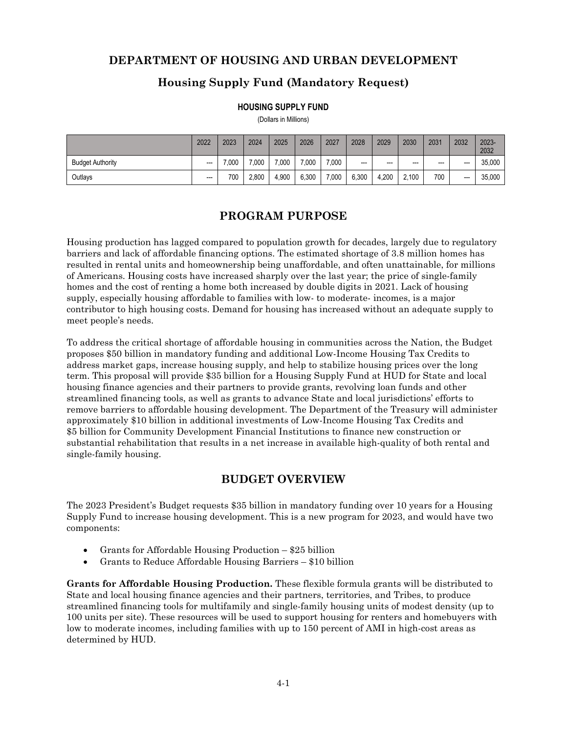### **DEPARTMENT OF HOUSING AND URBAN DEVELOPMENT**

# **Housing Supply Fund (Mandatory Request)**

#### **HOUSING SUPPLY FUND**

(Dollars in Millions)

|                         | 2022           | 2023  | 2024  | 2025  | 2026  | 2027  | 2028  | 2029    | 2030                     | 2031 | 2032  | 2023-<br>2032 |
|-------------------------|----------------|-------|-------|-------|-------|-------|-------|---------|--------------------------|------|-------|---------------|
| <b>Budget Authority</b> | $\overline{a}$ | 7.000 | 7.000 | 7.000 | 7.000 | 7.000 | $---$ | $- - -$ | $\overline{\phantom{a}}$ | $--$ | $---$ | 35.000        |
| Outlays                 | $---$          | 700   | 2,800 | 4,900 | 6.300 | 7,000 | 6,300 | 4,200   | 2,100                    | 700  | $---$ | 35.000        |

# **PROGRAM PURPOSE**

Housing production has lagged compared to population growth for decades, largely due to regulatory barriers and lack of affordable financing options. The estimated shortage of 3.8 million homes has resulted in rental units and homeownership being unaffordable, and often unattainable, for millions of Americans. Housing costs have increased sharply over the last year; the price of single-family homes and the cost of renting a home both increased by double digits in 2021. Lack of housing supply, especially housing affordable to families with low- to moderate- incomes, is a major contributor to high housing costs. Demand for housing has increased without an adequate supply to meet people's needs.

To address the critical shortage of affordable housing in communities across the Nation, the Budget proposes \$50 billion in mandatory funding and additional Low-Income Housing Tax Credits to address market gaps, increase housing supply, and help to stabilize housing prices over the long term. This proposal will provide \$35 billion for a Housing Supply Fund at HUD for State and local housing finance agencies and their partners to provide grants, revolving loan funds and other streamlined financing tools, as well as grants to advance State and local jurisdictions' efforts to remove barriers to affordable housing development. The Department of the Treasury will administer approximately \$10 billion in additional investments of Low-Income Housing Tax Credits and \$5 billion for Community Development Financial Institutions to finance new construction or substantial rehabilitation that results in a net increase in available high-quality of both rental and single-family housing.

# **BUDGET OVERVIEW**

The 2023 President's Budget requests \$35 billion in mandatory funding over 10 years for a Housing Supply Fund to increase housing development. This is a new program for 2023, and would have two components:

- Grants for Affordable Housing Production \$25 billion
- Grants to Reduce Affordable Housing Barriers \$10 billion

**Grants for Affordable Housing Production.** These flexible formula grants will be distributed to State and local housing finance agencies and their partners, territories, and Tribes, to produce streamlined financing tools for multifamily and single-family housing units of modest density (up to 100 units per site). These resources will be used to support housing for renters and homebuyers with low to moderate incomes, including families with up to 150 percent of AMI in high-cost areas as determined by HUD.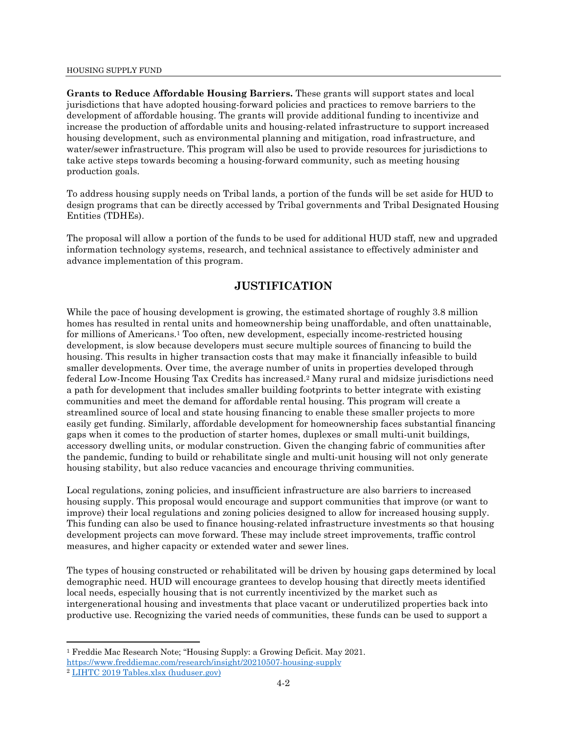#### HOUSING SUPPLY FUND

**Grants to Reduce Affordable Housing Barriers.** These grants will support states and local jurisdictions that have adopted housing-forward policies and practices to remove barriers to the development of affordable housing. The grants will provide additional funding to incentivize and increase the production of affordable units and housing-related infrastructure to support increased housing development, such as environmental planning and mitigation, road infrastructure, and water/sewer infrastructure. This program will also be used to provide resources for jurisdictions to take active steps towards becoming a housing-forward community, such as meeting housing production goals.

To address housing supply needs on Tribal lands, a portion of the funds will be set aside for HUD to design programs that can be directly accessed by Tribal governments and Tribal Designated Housing Entities (TDHEs).

The proposal will allow a portion of the funds to be used for additional HUD staff, new and upgraded information technology systems, research, and technical assistance to effectively administer and advance implementation of this program.

### **JUSTIFICATION**

While the pace of housing development is growing, the estimated shortage of roughly 3.8 million homes has resulted in rental units and homeownership being unaffordable, and often unattainable, for millions of Americans.1Too often, new development, especially income-restricted housing development, is slow because developers must secure multiple sources of financing to build the housing. This results in higher transaction costs that may make it financially infeasible to build smaller developments. Over time, the average number of units in properties developed through federal Low-Income Housing Tax Credits has increased[.](#page-1-1)2 Many rural and midsize jurisdictions need a path for development that includes smaller building footprints to better integrate with existing communities and meet the demand for affordable rental housing. This program will create a streamlined source of local and state housing financing to enable these smaller projects to more easily get funding. Similarly, affordable development for homeownership faces substantial financing gaps when it comes to the production of starter homes, duplexes or small multi-unit buildings, accessory dwelling units, or modular construction. Given the changing fabric of communities after the pandemic, funding to build or rehabilitate single and multi-unit housing will not only generate housing stability, but also reduce vacancies and encourage thriving communities.

Local regulations, zoning policies, and insufficient infrastructure are also barriers to increased housing supply. This proposal would encourage and support communities that improve (or want to improve) their local regulations and zoning policies designed to allow for increased housing supply. This funding can also be used to finance housing-related infrastructure investments so that housing development projects can move forward. These may include street improvements, traffic control measures, and higher capacity or extended water and sewer lines.

The types of housing constructed or rehabilitated will be driven by housing gaps determined by local demographic need. HUD will encourage grantees to develop housing that directly meets identified local needs, especially housing that is not currently incentivized by the market such as intergenerational housing and investments that place vacant or underutilized properties back into productive use. Recognizing the varied needs of communities, these funds can be used to support a

<span id="page-1-1"></span><span id="page-1-0"></span><sup>1</sup> Freddie Mac Research Note; "Housing Supply: a Growing Deficit. May 2021. <https://www.freddiemac.com/research/insight/20210507-housing-supply> <sup>2</sup> [LIHTC 2019 Tables.xlsx \(huduser.gov\)](https://www.huduser.gov/portal/Datasets/lihtc/LIHTC-2019-Tables.pdf)